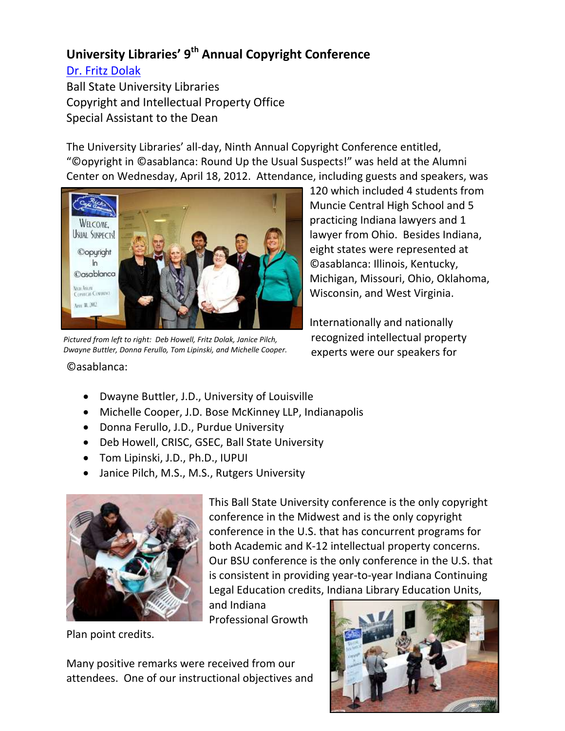## **University Libraries' 9th Annual Copyright Conference**

[Dr. Fritz Dolak](http://cms.bsu.edu/Academics/Libraries/CollectionsAndDept/Copyright/AboutCIPO/FritzDolak.aspx) Ball State University Libraries Copyright and Intellectual Property Office Special Assistant to the Dean

The University Libraries' all-day, Ninth Annual Copyright Conference entitled, "©opyright in ©asablanca: Round Up the Usual Suspects!" was held at the Alumni Center on Wednesday, April 18, 2012. Attendance, including guests and speakers, was



*Pictured from left to right: Deb Howell, Fritz Dolak, Janice Pilch, Dwayne Buttler, Donna Ferullo, Tom Lipinski, and Michelle Cooper.*

120 which included 4 students from Muncie Central High School and 5 practicing Indiana lawyers and 1 lawyer from Ohio. Besides Indiana, eight states were represented at ©asablanca: Illinois, Kentucky, Michigan, Missouri, Ohio, Oklahoma, Wisconsin, and West Virginia.

Internationally and nationally recognized intellectual property experts were our speakers for

- ©asablanca:
	- Dwayne Buttler, J.D., University of Louisville
	- Michelle Cooper, J.D. Bose McKinney LLP, Indianapolis
	- Donna Ferullo, J.D., Purdue University
	- Deb Howell, CRISC, GSEC, Ball State University
	- Tom Lipinski, J.D., Ph.D., IUPUI
	- Janice Pilch, M.S., M.S., Rutgers University



This Ball State University conference is the only copyright conference in the Midwest and is the only copyright conference in the U.S. that has concurrent programs for both Academic and K-12 intellectual property concerns. Our BSU conference is the only conference in the U.S. that is consistent in providing year-to-year Indiana Continuing Legal Education credits, Indiana Library Education Units,

and Indiana Professional Growth

Plan point credits.

Many positive remarks were received from our attendees. One of our instructional objectives and